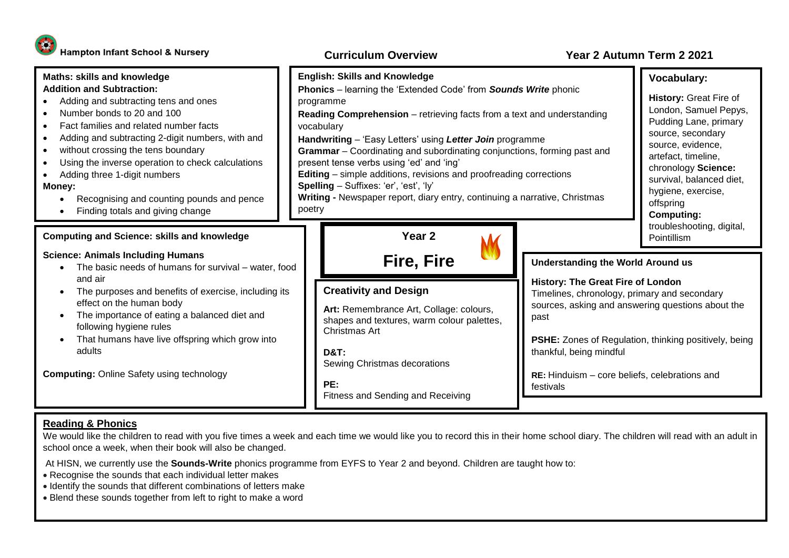## **Curriculum Overview Year 2 Autumn Term 2 2021**



At HISN, we currently use the **Sounds-Write** phonics programme from EYFS to Year 2 and beyond. Children are taught how to:

• Recognise the sounds that each individual letter makes

school once a week, when their book will also be changed.

- Identify the sounds that different combinations of letters make
- Blend these sounds together from left to right to make a word